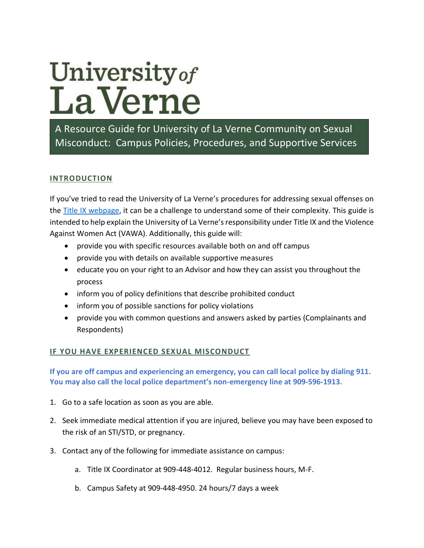# University of<br>La Verne

A Resource Guide for University of La Verne Community on Sexual Misconduct: Campus Policies, Procedures, and Supportive Services

## **INTRODUCTION**

If you've tried to read the University of La Verne's procedures for addressing sexual offenses on the [Title IX webpage,](https://laverne.edu/title-ix/wp-content/uploads/sites/47/2020/08/55509815_2020_title_ix_policy.pdf) it can be a challenge to understand some of their complexity. This guide is intended to help explain the University of La Verne's responsibility under Title IX and the Violence Against Women Act (VAWA). Additionally, this guide will:

- provide you with specific resources available both on and off campus
- provide you with details on available supportive measures
- educate you on your right to an Advisor and how they can assist you throughout the process
- inform you of policy definitions that describe prohibited conduct
- inform you of possible sanctions for policy violations
- provide you with common questions and answers asked by parties (Complainants and Respondents)

## **IF YOU HAVE EXPERIENCED SEXUAL MISCONDUCT**

**If you are off campus and experiencing an emergency, you can call local police by dialing 911. You may also call the local police department's non-emergency line at 909-596-1913.**

- 1. Go to a safe location as soon as you are able.
- 2. Seek immediate medical attention if you are injured, believe you may have been exposed to the risk of an STI/STD, or pregnancy.
- 3. Contact any of the following for immediate assistance on campus:
	- a. Title IX Coordinator at 909-448-4012. Regular business hours, M-F.
	- b. Campus Safety at 909-448-4950. 24 hours/7 days a week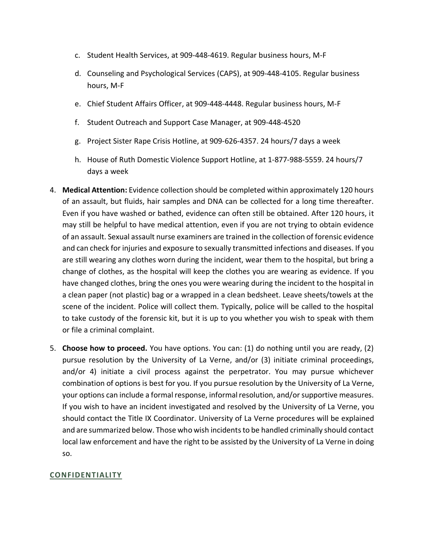- c. Student Health Services, at 909-448-4619. Regular business hours, M-F
- d. Counseling and Psychological Services (CAPS), at 909-448-4105. Regular business hours, M-F
- e. Chief Student Affairs Officer, at 909-448-4448. Regular business hours, M-F
- f. Student Outreach and Support Case Manager, at 909-448-4520
- g. Project Sister Rape Crisis Hotline, at 909-626-4357. 24 hours/7 days a week
- h. House of Ruth Domestic Violence Support Hotline, at 1-877-988-5559. 24 hours/7 days a week
- 4. **Medical Attention:** Evidence collection should be completed within approximately 120 hours of an assault, but fluids, hair samples and DNA can be collected for a long time thereafter. Even if you have washed or bathed, evidence can often still be obtained. After 120 hours, it may still be helpful to have medical attention, even if you are not trying to obtain evidence of an assault. Sexual assault nurse examiners are trained in the collection of forensic evidence and can check for injuries and exposure to sexually transmitted infections and diseases. If you are still wearing any clothes worn during the incident, wear them to the hospital, but bring a change of clothes, as the hospital will keep the clothes you are wearing as evidence. If you have changed clothes, bring the ones you were wearing during the incident to the hospital in a clean paper (not plastic) bag or a wrapped in a clean bedsheet. Leave sheets/towels at the scene of the incident. Police will collect them. Typically, police will be called to the hospital to take custody of the forensic kit, but it is up to you whether you wish to speak with them or file a criminal complaint.
- 5. **Choose how to proceed.** You have options. You can: (1) do nothing until you are ready, (2) pursue resolution by the University of La Verne, and/or (3) initiate criminal proceedings, and/or 4) initiate a civil process against the perpetrator. You may pursue whichever combination of options is best for you. If you pursue resolution by the University of La Verne, your options can include a formal response, informal resolution, and/or supportive measures. If you wish to have an incident investigated and resolved by the University of La Verne, you should contact the Title IX Coordinator. University of La Verne procedures will be explained and are summarized below. Those who wish incidents to be handled criminally should contact local law enforcement and have the right to be assisted by the University of La Verne in doing so.

## **CONFIDENTIALITY**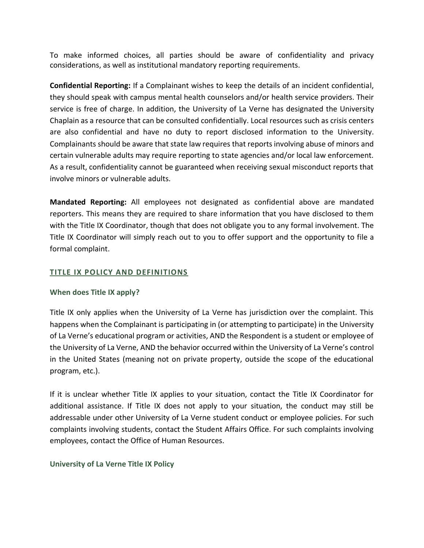To make informed choices, all parties should be aware of confidentiality and privacy considerations, as well as institutional mandatory reporting requirements.

**Confidential Reporting:** If a Complainant wishes to keep the details of an incident confidential, they should speak with campus mental health counselors and/or health service providers. Their service is free of charge. In addition, the University of La Verne has designated the University Chaplain as a resource that can be consulted confidentially. Local resources such as crisis centers are also confidential and have no duty to report disclosed information to the University. Complainants should be aware that state law requires that reports involving abuse of minors and certain vulnerable adults may require reporting to state agencies and/or local law enforcement. As a result, confidentiality cannot be guaranteed when receiving sexual misconduct reports that involve minors or vulnerable adults.

**Mandated Reporting:** All employees not designated as confidential above are mandated reporters. This means they are required to share information that you have disclosed to them with the Title IX Coordinator, though that does not obligate you to any formal involvement. The Title IX Coordinator will simply reach out to you to offer support and the opportunity to file a formal complaint.

## **TITLE IX POLICY AND DEFINITIONS**

#### **When does Title IX apply?**

Title IX only applies when the University of La Verne has jurisdiction over the complaint. This happens when the Complainant is participating in (or attempting to participate) in the University of La Verne's educational program or activities, AND the Respondent is a student or employee of the University of La Verne, AND the behavior occurred within the University of La Verne's control in the United States (meaning not on private property, outside the scope of the educational program, etc.).

If it is unclear whether Title IX applies to your situation, contact the Title IX Coordinator for additional assistance. If Title IX does not apply to your situation, the conduct may still be addressable under other University of La Verne student conduct or employee policies. For such complaints involving students, contact the Student Affairs Office. For such complaints involving employees, contact the Office of Human Resources.

#### **University of La Verne Title IX Policy**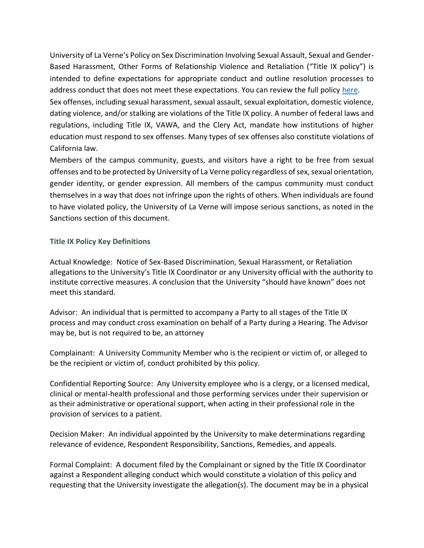University of La Verne's Policy on Sex Discrimination Involving Sexual Assault, Sexual and Gender-Based Harassment, Other Forms of Relationship Violence and Retaliation ("Title IX policy") is intended to define expectations for appropriate conduct and outline resolution processes to address conduct that does not meet these expectations. You can review the full policy [here.](https://laverne.edu/title-ix/wp-content/uploads/sites/47/2020/08/55509815_2020_title_ix_policy.pdf)

Sex offenses, including sexual harassment, sexual assault, sexual exploitation, domestic violence, dating violence, and/or stalking are violations of the Title IX policy. A number of federal laws and regulations, including Title IX, VAWA, and the Clery Act, mandate how institutions of higher education must respond to sex offenses. Many types of sex offenses also constitute violations of California law.

Members of the campus community, guests, and visitors have a right to be free from sexual offenses and to be protected by University of La Verne policy regardless of sex, sexual orientation, gender identity, or gender expression. All members of the campus community must conduct themselves in a way that does not infringe upon the rights of others. When individuals are found to have violated policy, the University of La Verne will impose serious sanctions, as noted in the Sanctions section of this document.

#### **Title IX Policy Key Definitions**

Actual Knowledge: Notice of Sex-Based Discrimination, Sexual Harassment, or Retaliation allegations to the University's Title IX Coordinator or any University official with the authority to institute corrective measures. A conclusion that the University "should have known" does not meet this standard.

Advisor: An individual that is permitted to accompany a Party to all stages of the Title IX process and may conduct cross examination on behalf of a Party during a Hearing. The Advisor may be, but is not required to be, an attorney

Complainant: A University Community Member who is the recipient or victim of, or alleged to be the recipient or victim of, conduct prohibited by this policy.

Confidential Reporting Source: Any University employee who is a clergy, or a licensed medical, clinical or mental-health professional and those performing services under their supervision or as their administrative or operational support, when acting in their professional role in the provision of services to a patient.

Decision Maker: An individual appointed by the University to make determinations regarding relevance of evidence, Respondent Responsibility, Sanctions, Remedies, and appeals.

Formal Complaint: A document filed by the Complainant or signed by the Title IX Coordinator against a Respondent alleging conduct which would constitute a violation of this policy and requesting that the University investigate the allegation(s). The document may be in a physical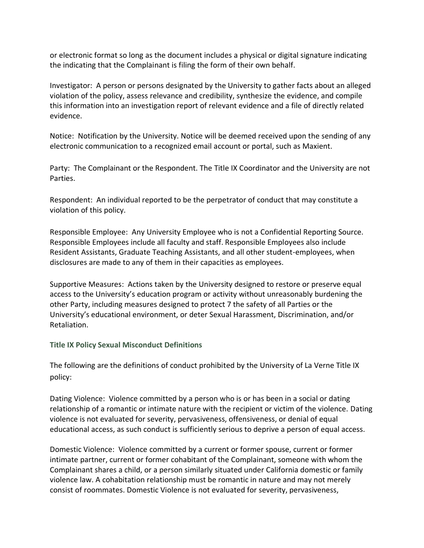or electronic format so long as the document includes a physical or digital signature indicating the indicating that the Complainant is filing the form of their own behalf.

Investigator: A person or persons designated by the University to gather facts about an alleged violation of the policy, assess relevance and credibility, synthesize the evidence, and compile this information into an investigation report of relevant evidence and a file of directly related evidence.

Notice: Notification by the University. Notice will be deemed received upon the sending of any electronic communication to a recognized email account or portal, such as Maxient.

Party: The Complainant or the Respondent. The Title IX Coordinator and the University are not Parties.

Respondent: An individual reported to be the perpetrator of conduct that may constitute a violation of this policy.

Responsible Employee: Any University Employee who is not a Confidential Reporting Source. Responsible Employees include all faculty and staff. Responsible Employees also include Resident Assistants, Graduate Teaching Assistants, and all other student-employees, when disclosures are made to any of them in their capacities as employees.

Supportive Measures: Actions taken by the University designed to restore or preserve equal access to the University's education program or activity without unreasonably burdening the other Party, including measures designed to protect 7 the safety of all Parties or the University's educational environment, or deter Sexual Harassment, Discrimination, and/or Retaliation.

**Title IX Policy Sexual Misconduct Definitions**

The following are the definitions of conduct prohibited by the University of La Verne Title IX policy:

Dating Violence: Violence committed by a person who is or has been in a social or dating relationship of a romantic or intimate nature with the recipient or victim of the violence. Dating violence is not evaluated for severity, pervasiveness, offensiveness, or denial of equal educational access, as such conduct is sufficiently serious to deprive a person of equal access.

Domestic Violence: Violence committed by a current or former spouse, current or former intimate partner, current or former cohabitant of the Complainant, someone with whom the Complainant shares a child, or a person similarly situated under California domestic or family violence law. A cohabitation relationship must be romantic in nature and may not merely consist of roommates. Domestic Violence is not evaluated for severity, pervasiveness,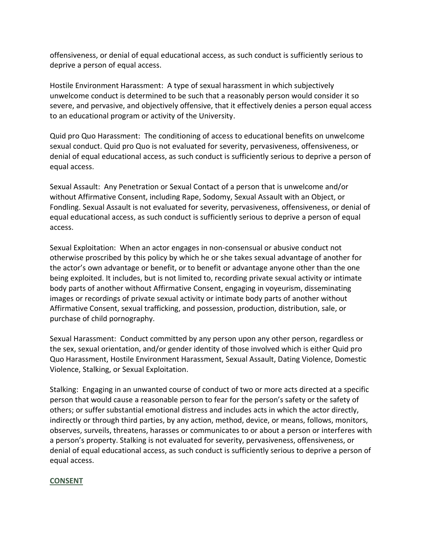offensiveness, or denial of equal educational access, as such conduct is sufficiently serious to deprive a person of equal access.

Hostile Environment Harassment: A type of sexual harassment in which subjectively unwelcome conduct is determined to be such that a reasonably person would consider it so severe, and pervasive, and objectively offensive, that it effectively denies a person equal access to an educational program or activity of the University.

Quid pro Quo Harassment: The conditioning of access to educational benefits on unwelcome sexual conduct. Quid pro Quo is not evaluated for severity, pervasiveness, offensiveness, or denial of equal educational access, as such conduct is sufficiently serious to deprive a person of equal access.

Sexual Assault: Any Penetration or Sexual Contact of a person that is unwelcome and/or without Affirmative Consent, including Rape, Sodomy, Sexual Assault with an Object, or Fondling. Sexual Assault is not evaluated for severity, pervasiveness, offensiveness, or denial of equal educational access, as such conduct is sufficiently serious to deprive a person of equal access.

Sexual Exploitation: When an actor engages in non-consensual or abusive conduct not otherwise proscribed by this policy by which he or she takes sexual advantage of another for the actor's own advantage or benefit, or to benefit or advantage anyone other than the one being exploited. It includes, but is not limited to, recording private sexual activity or intimate body parts of another without Affirmative Consent, engaging in voyeurism, disseminating images or recordings of private sexual activity or intimate body parts of another without Affirmative Consent, sexual trafficking, and possession, production, distribution, sale, or purchase of child pornography.

Sexual Harassment: Conduct committed by any person upon any other person, regardless or the sex, sexual orientation, and/or gender identity of those involved which is either Quid pro Quo Harassment, Hostile Environment Harassment, Sexual Assault, Dating Violence, Domestic Violence, Stalking, or Sexual Exploitation.

Stalking: Engaging in an unwanted course of conduct of two or more acts directed at a specific person that would cause a reasonable person to fear for the person's safety or the safety of others; or suffer substantial emotional distress and includes acts in which the actor directly, indirectly or through third parties, by any action, method, device, or means, follows, monitors, observes, surveils, threatens, harasses or communicates to or about a person or interferes with a person's property. Stalking is not evaluated for severity, pervasiveness, offensiveness, or denial of equal educational access, as such conduct is sufficiently serious to deprive a person of equal access.

#### **CONSENT**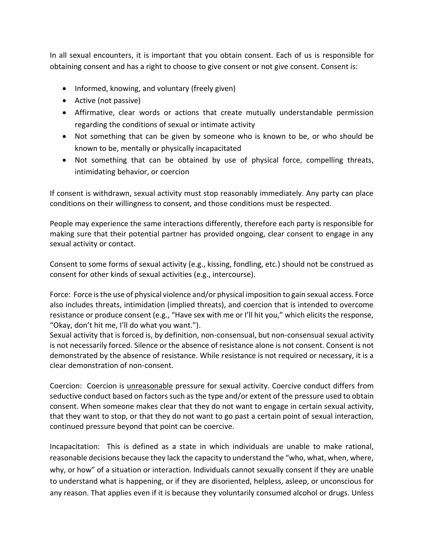In all sexual encounters, it is important that you obtain consent. Each of us is responsible for obtaining consent and has a right to choose to give consent or not give consent. Consent is:

- Informed, knowing, and voluntary (freely given)
- Active (not passive)
- Affirmative, clear words or actions that create mutually understandable permission regarding the conditions of sexual or intimate activity
- Not something that can be given by someone who is known to be, or who should be known to be, mentally or physically incapacitated
- Not something that can be obtained by use of physical force, compelling threats, intimidating behavior, or coercion

If consent is withdrawn, sexual activity must stop reasonably immediately. Any party can place conditions on their willingness to consent, and those conditions must be respected.

People may experience the same interactions differently, therefore each party is responsible for making sure that their potential partner has provided ongoing, clear consent to engage in any sexual activity or contact.

Consent to some forms of sexual activity (e.g., kissing, fondling, etc.) should not be construed as consent for other kinds of sexual activities (e.g., intercourse).

Force: Force is the use of physical violence and/or physical imposition to gain sexual access. Force also includes threats, intimidation (implied threats), and coercion that is intended to overcome resistance or produce consent (e.g., "Have sex with me or I'll hit you," which elicits the response, "Okay, don't hit me, I'll do what you want.").

Sexual activity that is forced is, by definition, non-consensual, but non-consensual sexual activity is not necessarily forced. Silence or the absence of resistance alone is not consent. Consent is not demonstrated by the absence of resistance. While resistance is not required or necessary, it is a clear demonstration of non-consent.

Coercion: Coercion is unreasonable pressure for sexual activity. Coercive conduct differs from seductive conduct based on factors such as the type and/or extent of the pressure used to obtain consent. When someone makes clear that they do not want to engage in certain sexual activity, that they want to stop, or that they do not want to go past a certain point of sexual interaction, continued pressure beyond that point can be coercive.

Incapacitation: This is defined as a state in which individuals are unable to make rational, reasonable decisions because they lack the capacity to understand the "who, what, when, where, why, or how" of a situation or interaction. Individuals cannot sexually consent if they are unable to understand what is happening, or if they are disoriented, helpless, asleep, or unconscious for any reason. That applies even if it is because they voluntarily consumed alcohol or drugs. Unless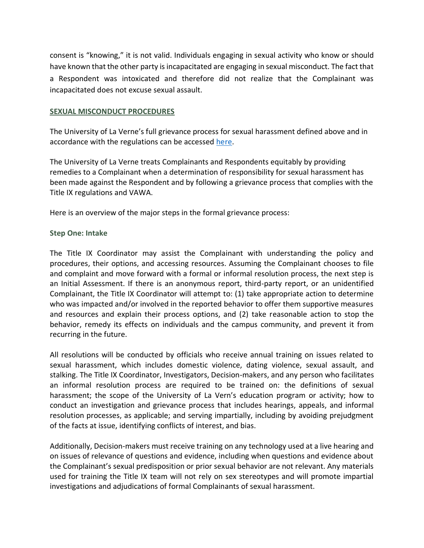consent is "knowing," it is not valid. Individuals engaging in sexual activity who know or should have known that the other party is incapacitated are engaging in sexual misconduct. The fact that a Respondent was intoxicated and therefore did not realize that the Complainant was incapacitated does not excuse sexual assault.

#### **SEXUAL MISCONDUCT PROCEDURES**

The University of La Verne's full grievance process for sexual harassment defined above and in accordance with the regulations can be accessed [here.](https://laverne.edu/title-ix/wp-content/uploads/sites/47/2020/08/55509815_2020_title_ix_policy.pdf)

The University of La Verne treats Complainants and Respondents equitably by providing remedies to a Complainant when a determination of responsibility for sexual harassment has been made against the Respondent and by following a grievance process that complies with the Title IX regulations and VAWA.

Here is an overview of the major steps in the formal grievance process:

#### **Step One: Intake**

The Title IX Coordinator may assist the Complainant with understanding the policy and procedures, their options, and accessing resources. Assuming the Complainant chooses to file and complaint and move forward with a formal or informal resolution process, the next step is an Initial Assessment. If there is an anonymous report, third-party report, or an unidentified Complainant, the Title IX Coordinator will attempt to: (1) take appropriate action to determine who was impacted and/or involved in the reported behavior to offer them supportive measures and resources and explain their process options, and (2) take reasonable action to stop the behavior, remedy its effects on individuals and the campus community, and prevent it from recurring in the future.

All resolutions will be conducted by officials who receive annual training on issues related to sexual harassment, which includes domestic violence, dating violence, sexual assault, and stalking. The Title IX Coordinator, Investigators, Decision-makers, and any person who facilitates an informal resolution process are required to be trained on: the definitions of sexual harassment; the scope of the University of La Vern's education program or activity; how to conduct an investigation and grievance process that includes hearings, appeals, and informal resolution processes, as applicable; and serving impartially, including by avoiding prejudgment of the facts at issue, identifying conflicts of interest, and bias.

Additionally, Decision-makers must receive training on any technology used at a live hearing and on issues of relevance of questions and evidence, including when questions and evidence about the Complainant's sexual predisposition or prior sexual behavior are not relevant. Any materials used for training the Title IX team will not rely on sex stereotypes and will promote impartial investigations and adjudications of formal Complainants of sexual harassment.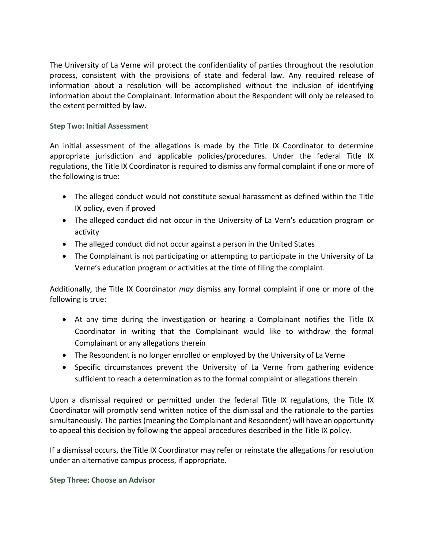The University of La Verne will protect the confidentiality of parties throughout the resolution process, consistent with the provisions of state and federal law. Any required release of information about a resolution will be accomplished without the inclusion of identifying information about the Complainant. Information about the Respondent will only be released to the extent permitted by law.

## **Step Two: Initial Assessment**

An initial assessment of the allegations is made by the Title IX Coordinator to determine appropriate jurisdiction and applicable policies/procedures. Under the federal Title IX regulations, the Title IX Coordinator is required to dismiss any formal complaint if one or more of the following is true:

- The alleged conduct would not constitute sexual harassment as defined within the Title IX policy, even if proved
- The alleged conduct did not occur in the University of La Vern's education program or activity
- The alleged conduct did not occur against a person in the United States
- The Complainant is not participating or attempting to participate in the University of La Verne's education program or activities at the time of filing the complaint.

Additionally, the Title IX Coordinator *may* dismiss any formal complaint if one or more of the following is true:

- At any time during the investigation or hearing a Complainant notifies the Title IX Coordinator in writing that the Complainant would like to withdraw the formal Complainant or any allegations therein
- The Respondent is no longer enrolled or employed by the University of La Verne
- Specific circumstances prevent the University of La Verne from gathering evidence sufficient to reach a determination as to the formal complaint or allegations therein

Upon a dismissal required or permitted under the federal Title IX regulations, the Title IX Coordinator will promptly send written notice of the dismissal and the rationale to the parties simultaneously. The parties (meaning the Complainant and Respondent) will have an opportunity to appeal this decision by following the appeal procedures described in the Title IX policy.

If a dismissal occurs, the Title IX Coordinator may refer or reinstate the allegations for resolution under an alternative campus process, if appropriate.

**Step Three: Choose an Advisor**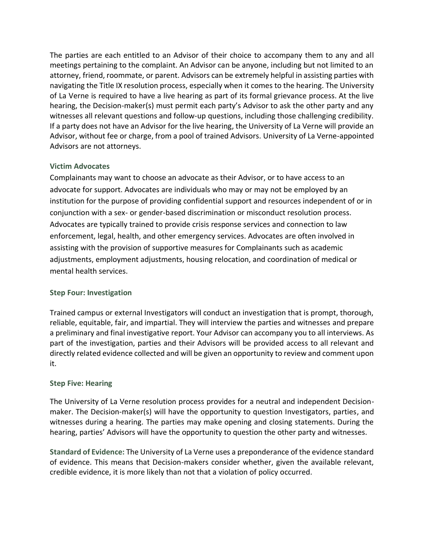The parties are each entitled to an Advisor of their choice to accompany them to any and all meetings pertaining to the complaint. An Advisor can be anyone, including but not limited to an attorney, friend, roommate, or parent. Advisors can be extremely helpful in assisting parties with navigating the Title IX resolution process, especially when it comes to the hearing. The University of La Verne is required to have a live hearing as part of its formal grievance process. At the live hearing, the Decision-maker(s) must permit each party's Advisor to ask the other party and any witnesses all relevant questions and follow-up questions, including those challenging credibility. If a party does not have an Advisor for the live hearing, the University of La Verne will provide an Advisor, without fee or charge, from a pool of trained Advisors. University of La Verne-appointed Advisors are not attorneys.

## **Victim Advocates**

Complainants may want to choose an advocate as their Advisor, or to have access to an advocate for support. Advocates are individuals who may or may not be employed by an institution for the purpose of providing confidential support and resources independent of or in conjunction with a sex- or gender-based discrimination or misconduct resolution process. Advocates are typically trained to provide crisis response services and connection to law enforcement, legal, health, and other emergency services. Advocates are often involved in assisting with the provision of supportive measures for Complainants such as academic adjustments, employment adjustments, housing relocation, and coordination of medical or mental health services.

## **Step Four: Investigation**

Trained campus or external Investigators will conduct an investigation that is prompt, thorough, reliable, equitable, fair, and impartial. They will interview the parties and witnesses and prepare a preliminary and final investigative report. Your Advisor can accompany you to all interviews. As part of the investigation, parties and their Advisors will be provided access to all relevant and directly related evidence collected and will be given an opportunity to review and comment upon it.

## **Step Five: Hearing**

The University of La Verne resolution process provides for a neutral and independent Decisionmaker. The Decision-maker(s) will have the opportunity to question Investigators, parties, and witnesses during a hearing. The parties may make opening and closing statements. During the hearing, parties' Advisors will have the opportunity to question the other party and witnesses.

**Standard of Evidence:** The University of La Verne uses a preponderance of the evidence standard of evidence. This means that Decision-makers consider whether, given the available relevant, credible evidence, it is more likely than not that a violation of policy occurred.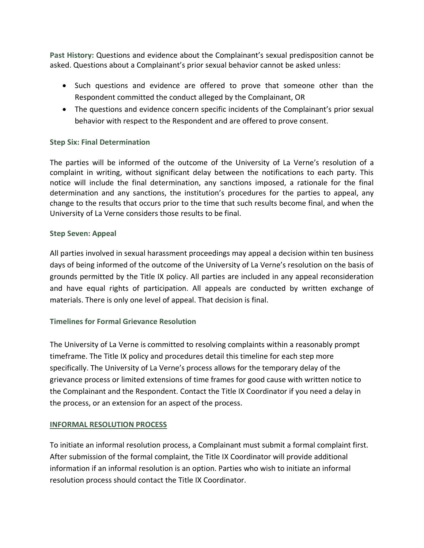**Past History:** Questions and evidence about the Complainant's sexual predisposition cannot be asked. Questions about a Complainant's prior sexual behavior cannot be asked unless:

- Such questions and evidence are offered to prove that someone other than the Respondent committed the conduct alleged by the Complainant, OR
- The questions and evidence concern specific incidents of the Complainant's prior sexual behavior with respect to the Respondent and are offered to prove consent.

## **Step Six: Final Determination**

The parties will be informed of the outcome of the University of La Verne's resolution of a complaint in writing, without significant delay between the notifications to each party. This notice will include the final determination, any sanctions imposed, a rationale for the final determination and any sanctions, the institution's procedures for the parties to appeal, any change to the results that occurs prior to the time that such results become final, and when the University of La Verne considers those results to be final.

## **Step Seven: Appeal**

All parties involved in sexual harassment proceedings may appeal a decision within ten business days of being informed of the outcome of the University of La Verne's resolution on the basis of grounds permitted by the Title IX policy. All parties are included in any appeal reconsideration and have equal rights of participation. All appeals are conducted by written exchange of materials. There is only one level of appeal. That decision is final.

## **Timelines for Formal Grievance Resolution**

The University of La Verne is committed to resolving complaints within a reasonably prompt timeframe. The Title IX policy and procedures detail this timeline for each step more specifically. The University of La Verne's process allows for the temporary delay of the grievance process or limited extensions of time frames for good cause with written notice to the Complainant and the Respondent. Contact the Title IX Coordinator if you need a delay in the process, or an extension for an aspect of the process.

## **INFORMAL RESOLUTION PROCESS**

To initiate an informal resolution process, a Complainant must submit a formal complaint first. After submission of the formal complaint, the Title IX Coordinator will provide additional information if an informal resolution is an option. Parties who wish to initiate an informal resolution process should contact the Title IX Coordinator.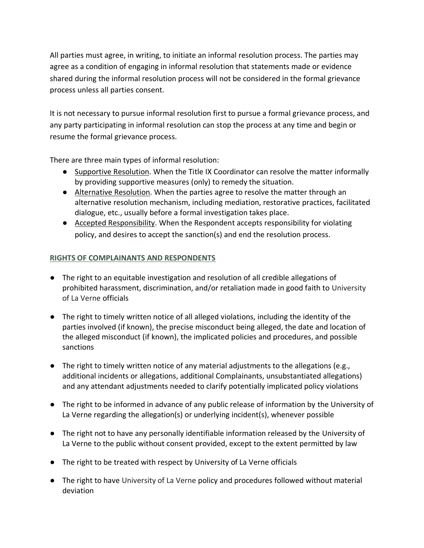All parties must agree, in writing, to initiate an informal resolution process. The parties may agree as a condition of engaging in informal resolution that statements made or evidence shared during the informal resolution process will not be considered in the formal grievance process unless all parties consent.

It is not necessary to pursue informal resolution first to pursue a formal grievance process, and any party participating in informal resolution can stop the process at any time and begin or resume the formal grievance process.

There are three main types of informal resolution:

- Supportive Resolution. When the Title IX Coordinator can resolve the matter informally by providing supportive measures (only) to remedy the situation.
- Alternative Resolution. When the parties agree to resolve the matter through an alternative resolution mechanism, including mediation, restorative practices, facilitated dialogue, etc., usually before a formal investigation takes place.
- Accepted Responsibility. When the Respondent accepts responsibility for violating policy, and desires to accept the sanction(s) and end the resolution process.

## **RIGHTS OF COMPLAINANTS AND RESPONDENTS**

- The right to an equitable investigation and resolution of all credible allegations of prohibited harassment, discrimination, and/or retaliation made in good faith to University of La Verne officials
- The right to timely written notice of all alleged violations, including the identity of the parties involved (if known), the precise misconduct being alleged, the date and location of the alleged misconduct (if known), the implicated policies and procedures, and possible sanctions
- The right to timely written notice of any material adjustments to the allegations (e.g., additional incidents or allegations, additional Complainants, unsubstantiated allegations) and any attendant adjustments needed to clarify potentially implicated policy violations
- The right to be informed in advance of any public release of information by the University of La Verne regarding the allegation(s) or underlying incident(s), whenever possible
- The right not to have any personally identifiable information released by the University of La Verne to the public without consent provided, except to the extent permitted by law
- The right to be treated with respect by University of La Verne officials
- The right to have University of La Verne policy and procedures followed without material deviation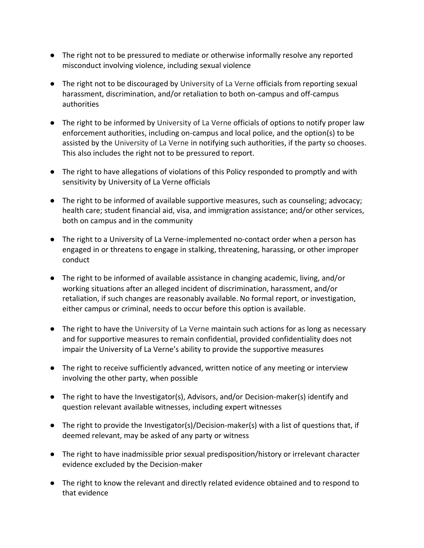- The right not to be pressured to mediate or otherwise informally resolve any reported misconduct involving violence, including sexual violence
- The right not to be discouraged by University of La Verne officials from reporting sexual harassment, discrimination, and/or retaliation to both on-campus and off-campus authorities
- The right to be informed by University of La Verne officials of options to notify proper law enforcement authorities, including on-campus and local police, and the option(s) to be assisted by the University of La Verne in notifying such authorities, if the party so chooses. This also includes the right not to be pressured to report.
- The right to have allegations of violations of this Policy responded to promptly and with sensitivity by University of La Verne officials
- The right to be informed of available supportive measures, such as counseling; advocacy; health care; student financial aid, visa, and immigration assistance; and/or other services, both on campus and in the community
- The right to a University of La Verne-implemented no-contact order when a person has engaged in or threatens to engage in stalking, threatening, harassing, or other improper conduct
- The right to be informed of available assistance in changing academic, living, and/or working situations after an alleged incident of discrimination, harassment, and/or retaliation, if such changes are reasonably available. No formal report, or investigation, either campus or criminal, needs to occur before this option is available.
- The right to have the University of La Verne maintain such actions for as long as necessary and for supportive measures to remain confidential, provided confidentiality does not impair the University of La Verne's ability to provide the supportive measures
- The right to receive sufficiently advanced, written notice of any meeting or interview involving the other party, when possible
- The right to have the Investigator(s), Advisors, and/or Decision-maker(s) identify and question relevant available witnesses, including expert witnesses
- The right to provide the Investigator(s)/Decision-maker(s) with a list of questions that, if deemed relevant, may be asked of any party or witness
- The right to have inadmissible prior sexual predisposition/history or irrelevant character evidence excluded by the Decision-maker
- The right to know the relevant and directly related evidence obtained and to respond to that evidence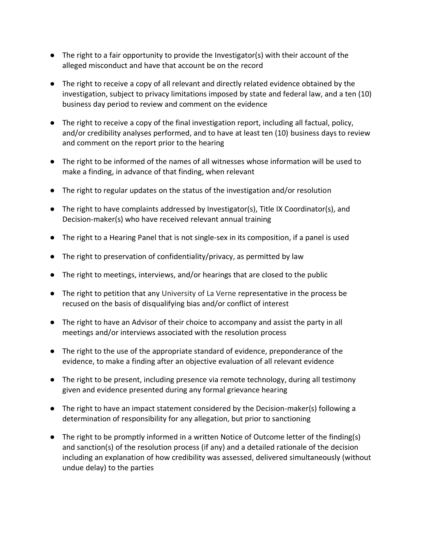- The right to a fair opportunity to provide the Investigator(s) with their account of the alleged misconduct and have that account be on the record
- The right to receive a copy of all relevant and directly related evidence obtained by the investigation, subject to privacy limitations imposed by state and federal law, and a ten (10) business day period to review and comment on the evidence
- The right to receive a copy of the final investigation report, including all factual, policy, and/or credibility analyses performed, and to have at least ten (10) business days to review and comment on the report prior to the hearing
- The right to be informed of the names of all witnesses whose information will be used to make a finding, in advance of that finding, when relevant
- The right to regular updates on the status of the investigation and/or resolution
- The right to have complaints addressed by Investigator(s), Title IX Coordinator(s), and Decision-maker(s) who have received relevant annual training
- The right to a Hearing Panel that is not single-sex in its composition, if a panel is used
- The right to preservation of confidentiality/privacy, as permitted by law
- The right to meetings, interviews, and/or hearings that are closed to the public
- The right to petition that any University of La Verne representative in the process be recused on the basis of disqualifying bias and/or conflict of interest
- The right to have an Advisor of their choice to accompany and assist the party in all meetings and/or interviews associated with the resolution process
- The right to the use of the appropriate standard of evidence, preponderance of the evidence, to make a finding after an objective evaluation of all relevant evidence
- The right to be present, including presence via remote technology, during all testimony given and evidence presented during any formal grievance hearing
- The right to have an impact statement considered by the Decision-maker(s) following a determination of responsibility for any allegation, but prior to sanctioning
- The right to be promptly informed in a written Notice of Outcome letter of the finding(s) and sanction(s) of the resolution process (if any) and a detailed rationale of the decision including an explanation of how credibility was assessed, delivered simultaneously (without undue delay) to the parties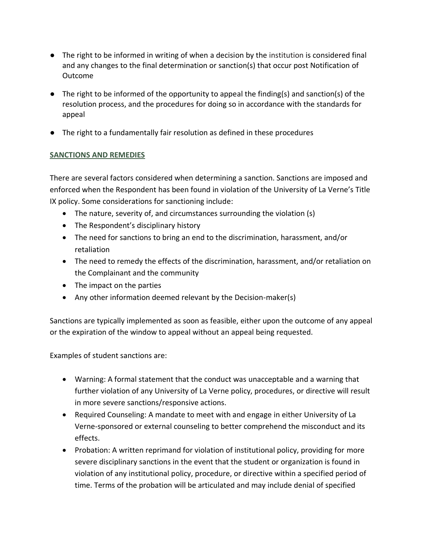- The right to be informed in writing of when a decision by the institution is considered final and any changes to the final determination or sanction(s) that occur post Notification of Outcome
- The right to be informed of the opportunity to appeal the finding(s) and sanction(s) of the resolution process, and the procedures for doing so in accordance with the standards for appeal
- The right to a fundamentally fair resolution as defined in these procedures

## **SANCTIONS AND REMEDIES**

There are several factors considered when determining a sanction. Sanctions are imposed and enforced when the Respondent has been found in violation of the University of La Verne's Title IX policy. Some considerations for sanctioning include:

- The nature, severity of, and circumstances surrounding the violation (s)
- The Respondent's disciplinary history
- The need for sanctions to bring an end to the discrimination, harassment, and/or retaliation
- The need to remedy the effects of the discrimination, harassment, and/or retaliation on the Complainant and the community
- The impact on the parties
- Any other information deemed relevant by the Decision-maker(s)

Sanctions are typically implemented as soon as feasible, either upon the outcome of any appeal or the expiration of the window to appeal without an appeal being requested.

Examples of student sanctions are:

- Warning: A formal statement that the conduct was unacceptable and a warning that further violation of any University of La Verne policy, procedures, or directive will result in more severe sanctions/responsive actions.
- Required Counseling: A mandate to meet with and engage in either University of La Verne-sponsored or external counseling to better comprehend the misconduct and its effects.
- Probation: A written reprimand for violation of institutional policy, providing for more severe disciplinary sanctions in the event that the student or organization is found in violation of any institutional policy, procedure, or directive within a specified period of time. Terms of the probation will be articulated and may include denial of specified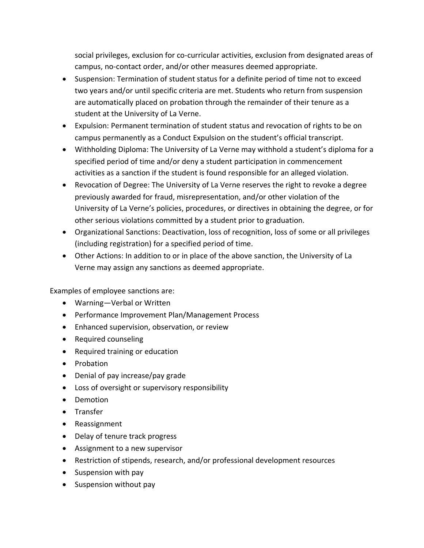social privileges, exclusion for co-curricular activities, exclusion from designated areas of campus, no-contact order, and/or other measures deemed appropriate.

- Suspension: Termination of student status for a definite period of time not to exceed two years and/or until specific criteria are met. Students who return from suspension are automatically placed on probation through the remainder of their tenure as a student at the University of La Verne.
- Expulsion: Permanent termination of student status and revocation of rights to be on campus permanently as a Conduct Expulsion on the student's official transcript.
- Withholding Diploma: The University of La Verne may withhold a student's diploma for a specified period of time and/or deny a student participation in commencement activities as a sanction if the student is found responsible for an alleged violation.
- Revocation of Degree: The University of La Verne reserves the right to revoke a degree previously awarded for fraud, misrepresentation, and/or other violation of the University of La Verne's policies, procedures, or directives in obtaining the degree, or for other serious violations committed by a student prior to graduation.
- Organizational Sanctions: Deactivation, loss of recognition, loss of some or all privileges (including registration) for a specified period of time.
- Other Actions: In addition to or in place of the above sanction, the University of La Verne may assign any sanctions as deemed appropriate.

Examples of employee sanctions are:

- Warning—Verbal or Written
- Performance Improvement Plan/Management Process
- Enhanced supervision, observation, or review
- Required counseling
- Required training or education
- Probation
- Denial of pay increase/pay grade
- Loss of oversight or supervisory responsibility
- Demotion
- Transfer
- Reassignment
- Delay of tenure track progress
- Assignment to a new supervisor
- Restriction of stipends, research, and/or professional development resources
- Suspension with pay
- Suspension without pay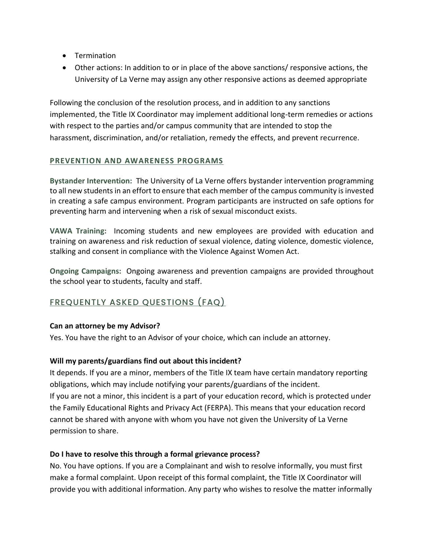- Termination
- Other actions: In addition to or in place of the above sanctions/ responsive actions, the University of La Verne may assign any other responsive actions as deemed appropriate

Following the conclusion of the resolution process, and in addition to any sanctions implemented, the Title IX Coordinator may implement additional long-term remedies or actions with respect to the parties and/or campus community that are intended to stop the harassment, discrimination, and/or retaliation, remedy the effects, and prevent recurrence.

#### **PREVENTION AND AWARENESS PROGRAMS**

**Bystander Intervention:** The University of La Verne offers bystander intervention programming to all new students in an effort to ensure that each member of the campus community is invested in creating a safe campus environment. Program participants are instructed on safe options for preventing harm and intervening when a risk of sexual misconduct exists.

**VAWA Training:** Incoming students and new employees are provided with education and training on awareness and risk reduction of sexual violence, dating violence, domestic violence, stalking and consent in compliance with the Violence Against Women Act.

**Ongoing Campaigns:** Ongoing awareness and prevention campaigns are provided throughout the school year to students, faculty and staff.

# FREQUENTLY ASKED QUESTIONS (FAQ)

## **Can an attorney be my Advisor?**

Yes. You have the right to an Advisor of your choice, which can include an attorney.

## **Will my parents/guardians find out about this incident?**

It depends. If you are a minor, members of the Title IX team have certain mandatory reporting obligations, which may include notifying your parents/guardians of the incident. If you are not a minor, this incident is a part of your education record, which is protected under the Family Educational Rights and Privacy Act (FERPA). This means that your education record cannot be shared with anyone with whom you have not given the University of La Verne permission to share.

## **Do I have to resolve this through a formal grievance process?**

No. You have options. If you are a Complainant and wish to resolve informally, you must first make a formal complaint. Upon receipt of this formal complaint, the Title IX Coordinator will provide you with additional information. Any party who wishes to resolve the matter informally